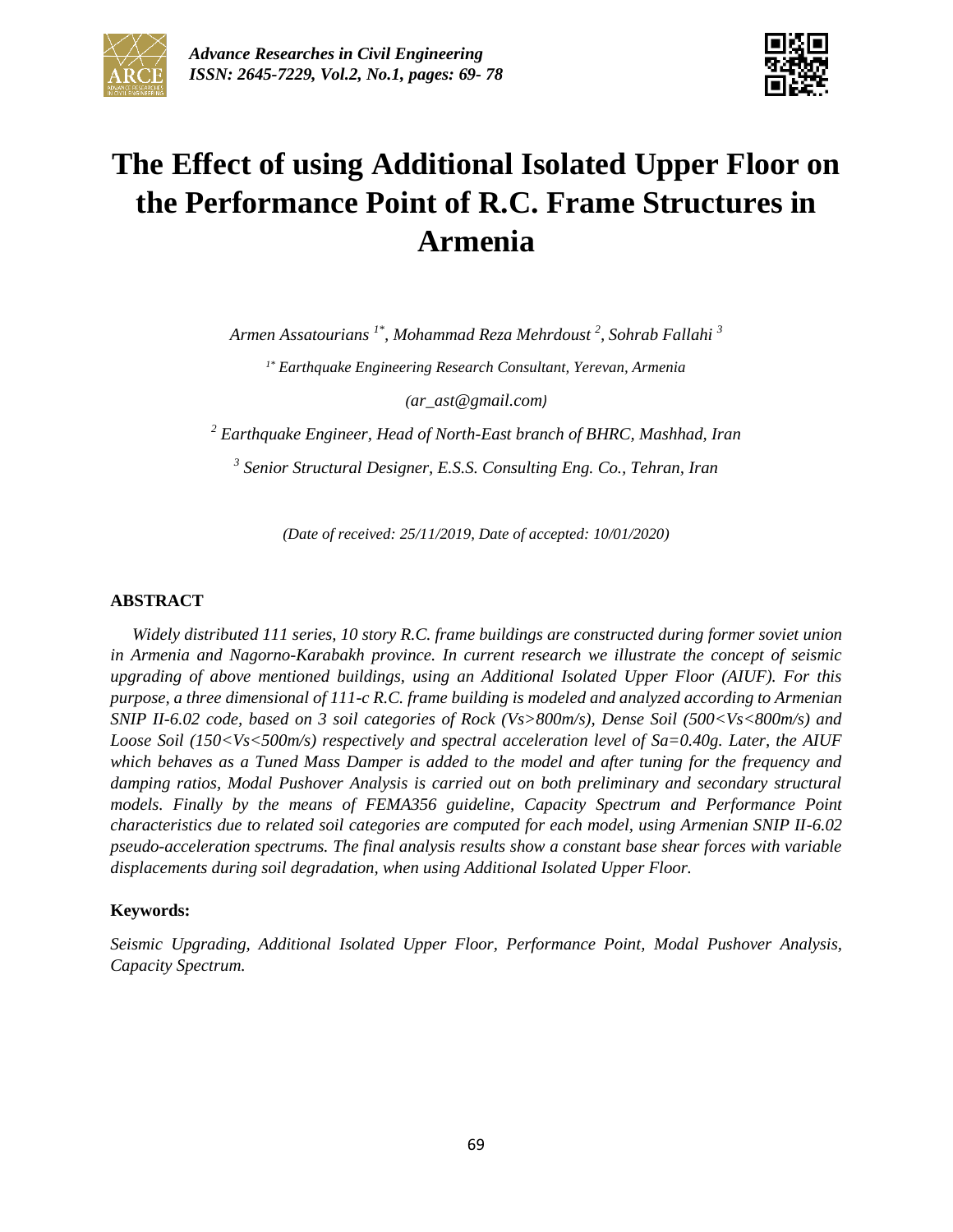



# **The Effect of using Additional Isolated Upper Floor on the Performance Point of R.C. Frame Structures in Armenia**

*Armen Assatourians 1\* , Mohammad Reza Mehrdoust <sup>2</sup> , Sohrab Fallahi <sup>3</sup>*

*1\* Earthquake Engineering Research Consultant, Yerevan, Armenia*

*(ar\_ast@gmail.com)*

*<sup>2</sup> Earthquake Engineer, Head of North-East branch of BHRC, Mashhad, Iran*

*3 Senior Structural Designer, E.S.S. Consulting Eng. Co., Tehran, Iran*

*(Date of received: 25/11/2019, Date of accepted: 10/01/2020)*

#### **ABSTRACT**

*Widely distributed 111 series, 10 story R.C. frame buildings are constructed during former soviet union in Armenia and Nagorno-Karabakh province. In current research we illustrate the concept of seismic upgrading of above mentioned buildings, using an Additional Isolated Upper Floor (AIUF). For this purpose, a three dimensional of 111-c R.C. frame building is modeled and analyzed according to Armenian SNIP II-6.02 code, based on 3 soil categories of Rock (Vs>800m/s), Dense Soil (500<Vs<800m/s) and Loose Soil (150<Vs<500m/s) respectively and spectral acceleration level of Sa=0.40g. Later, the AIUF which behaves as a Tuned Mass Damper is added to the model and after tuning for the frequency and damping ratios, Modal Pushover Analysis is carried out on both preliminary and secondary structural models. Finally by the means of FEMA356 guideline, Capacity Spectrum and Performance Point characteristics due to related soil categories are computed for each model, using Armenian SNIP II-6.02 pseudo-acceleration spectrums. The final analysis results show a constant base shear forces with variable displacements during soil degradation, when using Additional Isolated Upper Floor.*

#### **Keywords:**

*Seismic Upgrading, Additional Isolated Upper Floor, Performance Point, Modal Pushover Analysis, Capacity Spectrum.*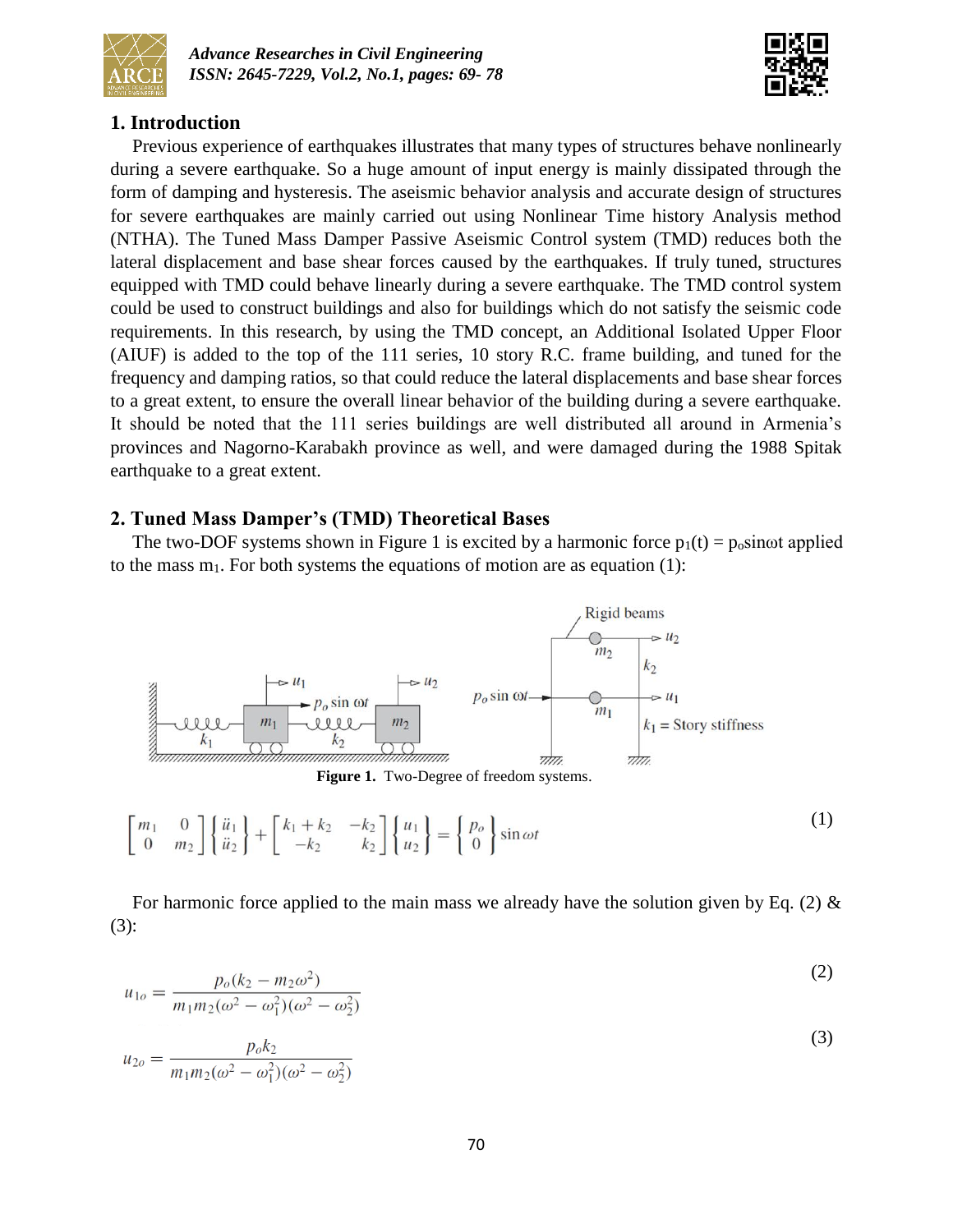



## **1. Introduction**

Previous experience of earthquakes illustrates that many types of structures behave nonlinearly during a severe earthquake. So a huge amount of input energy is mainly dissipated through the form of damping and hysteresis. The aseismic behavior analysis and accurate design of structures for severe earthquakes are mainly carried out using Nonlinear Time history Analysis method (NTHA). The Tuned Mass Damper Passive Aseismic Control system (TMD) reduces both the lateral displacement and base shear forces caused by the earthquakes. If truly tuned, structures equipped with TMD could behave linearly during a severe earthquake. The TMD control system could be used to construct buildings and also for buildings which do not satisfy the seismic code requirements. In this research, by using the TMD concept, an Additional Isolated Upper Floor (AIUF) is added to the top of the 111 series, 10 story R.C. frame building, and tuned for the frequency and damping ratios, so that could reduce the lateral displacements and base shear forces to a great extent, to ensure the overall linear behavior of the building during a severe earthquake. It should be noted that the 111 series buildings are well distributed all around in Armenia's provinces and Nagorno-Karabakh province as well, and were damaged during the 1988 Spitak earthquake to a great extent.

### **2. Tuned Mass Damper's (TMD) Theoretical Bases**

The two-DOF systems shown in Figure 1 is excited by a harmonic force  $p_1(t) = p_0 \sin \omega t$  applied to the mass  $m_1$ . For both systems the equations of motion are as equation (1):



**Figure 1.** Two-Degree of freedom systems.

$$
\begin{bmatrix} m_1 & 0 \\ 0 & m_2 \end{bmatrix} \begin{Bmatrix} \ddot{u}_1 \\ \ddot{u}_2 \end{Bmatrix} + \begin{bmatrix} k_1 + k_2 & -k_2 \\ -k_2 & k_2 \end{bmatrix} \begin{Bmatrix} u_1 \\ u_2 \end{Bmatrix} = \begin{Bmatrix} p_o \\ 0 \end{Bmatrix} \sin \omega t
$$
 (1)

For harmonic force applied to the main mass we already have the solution given by Eq. (2)  $\&$ (3):

$$
u_{1o} = \frac{p_o(k_2 - m_2\omega^2)}{m_1m_2(\omega^2 - \omega_1^2)(\omega^2 - \omega_2^2)}
$$
(2)

$$
u_{2o} = \frac{p_o k_2}{m_1 m_2 (\omega^2 - \omega_1^2)(\omega^2 - \omega_2^2)}
$$
(3)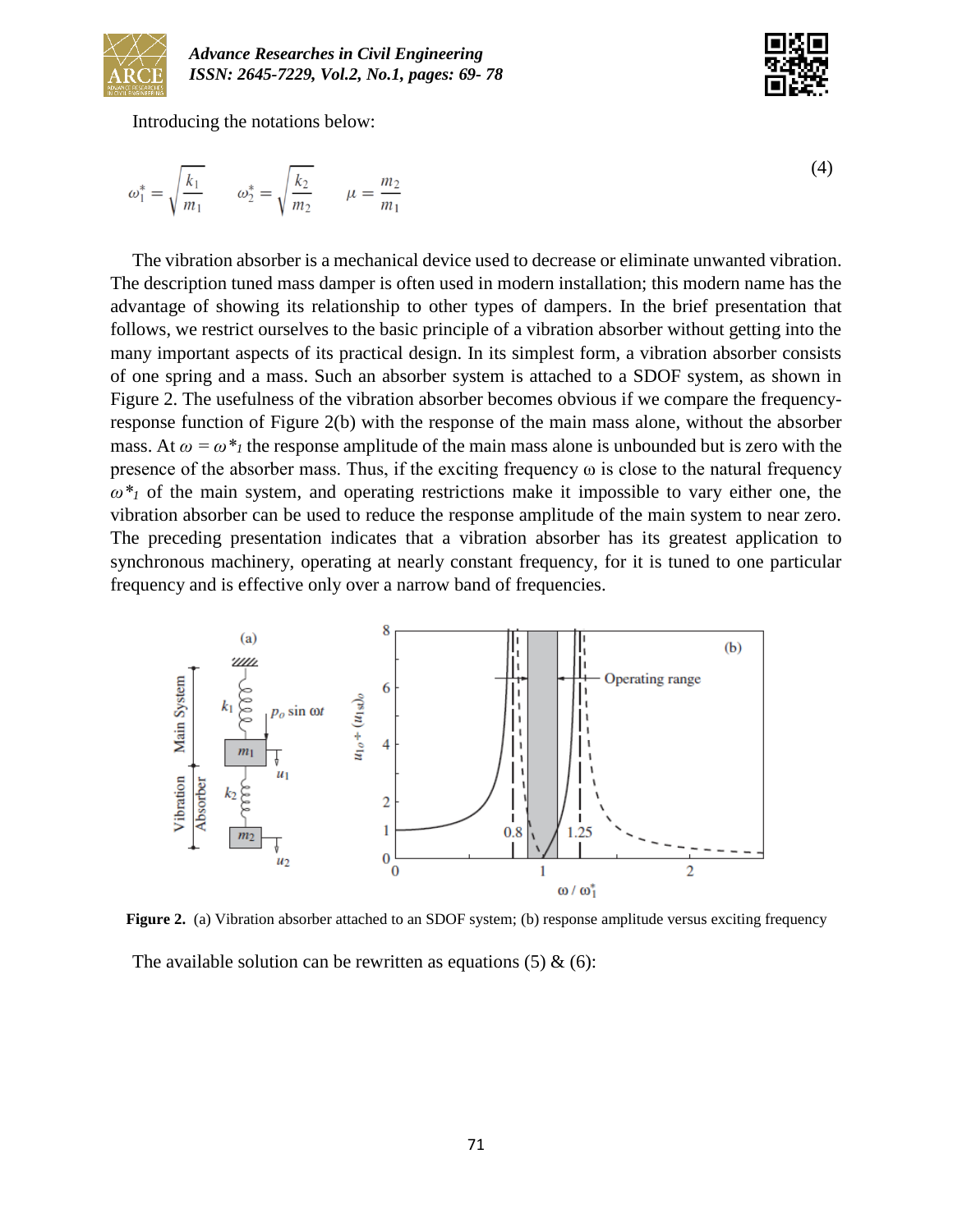

Introducing the notations below:

$$
\omega_1^* = \sqrt{\frac{k_1}{m_1}} \qquad \omega_2^* = \sqrt{\frac{k_2}{m_2}} \qquad \mu = \frac{m_2}{m_1}
$$

The vibration absorber is a mechanical device used to decrease or eliminate unwanted vibration. The description tuned mass damper is often used in modern installation; this modern name has the advantage of showing its relationship to other types of dampers. In the brief presentation that follows, we restrict ourselves to the basic principle of a vibration absorber without getting into the many important aspects of its practical design. In its simplest form, a vibration absorber consists of one spring and a mass. Such an absorber system is attached to a SDOF system, as shown in Figure 2. The usefulness of the vibration absorber becomes obvious if we compare the frequencyresponse function of Figure 2(b) with the response of the main mass alone, without the absorber mass. At  $\omega = \omega^*$ <sub>*l*</sub> the response amplitude of the main mass alone is unbounded but is zero with the presence of the absorber mass. Thus, if the exciting frequency  $\omega$  is close to the natural frequency *ω\*<sup>1</sup>* of the main system, and operating restrictions make it impossible to vary either one, the vibration absorber can be used to reduce the response amplitude of the main system to near zero. The preceding presentation indicates that a vibration absorber has its greatest application to synchronous machinery, operating at nearly constant frequency, for it is tuned to one particular frequency and is effective only over a narrow band of frequencies.



**Figure 2.** (a) Vibration absorber attached to an SDOF system; (b) response amplitude versus exciting frequency

The available solution can be rewritten as equations  $(5) \& (6)$ :

(4)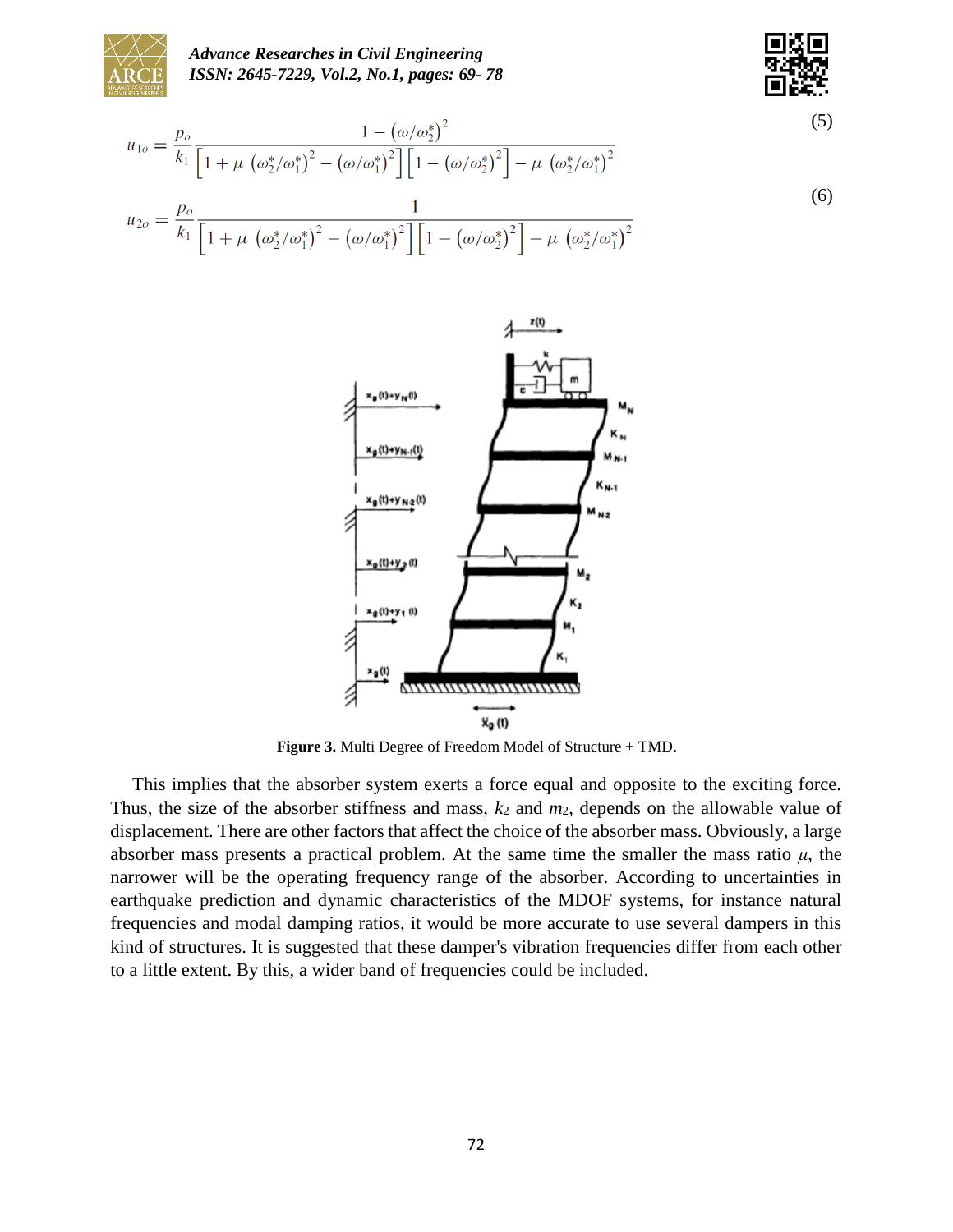

*Advance Researches in Civil Engineering ISSN: 2645-7229, Vol.2, No.1, pages: 69- 78*



$$
u_{1o} = \frac{p_o}{k_1} \frac{1 - (\omega/\omega_2^*)^2}{\left[1 + \mu \left(\omega_2^*/\omega_1^*\right)^2 - (\omega/\omega_1^*)^2\right] \left[1 - (\omega/\omega_2^*)^2\right] - \mu \left(\omega_2^*/\omega_1^*\right)^2}
$$
\n
$$
u_{2o} = \frac{p_o}{k_1} \frac{1}{\left[1 + \mu \left(\omega_2^*/\omega_1^*\right)^2 - (\omega/\omega_1^*)^2\right] \left[1 - (\omega/\omega_2^*)^2\right] - \mu \left(\omega_2^*/\omega_1^*\right)^2}
$$
\n(6)



**Figure 3.** Multi Degree of Freedom Model of Structure + TMD.

This implies that the absorber system exerts a force equal and opposite to the exciting force. Thus, the size of the absorber stiffness and mass, *k*<sup>2</sup> and *m*2, depends on the allowable value of displacement. There are other factors that affect the choice of the absorber mass. Obviously, a large absorber mass presents a practical problem. At the same time the smaller the mass ratio  $\mu$ , the narrower will be the operating frequency range of the absorber. According to uncertainties in earthquake prediction and dynamic characteristics of the MDOF systems, for instance natural frequencies and modal damping ratios, it would be more accurate to use several dampers in this kind of structures. It is suggested that these damper's vibration frequencies differ from each other to a little extent. By this, a wider band of frequencies could be included.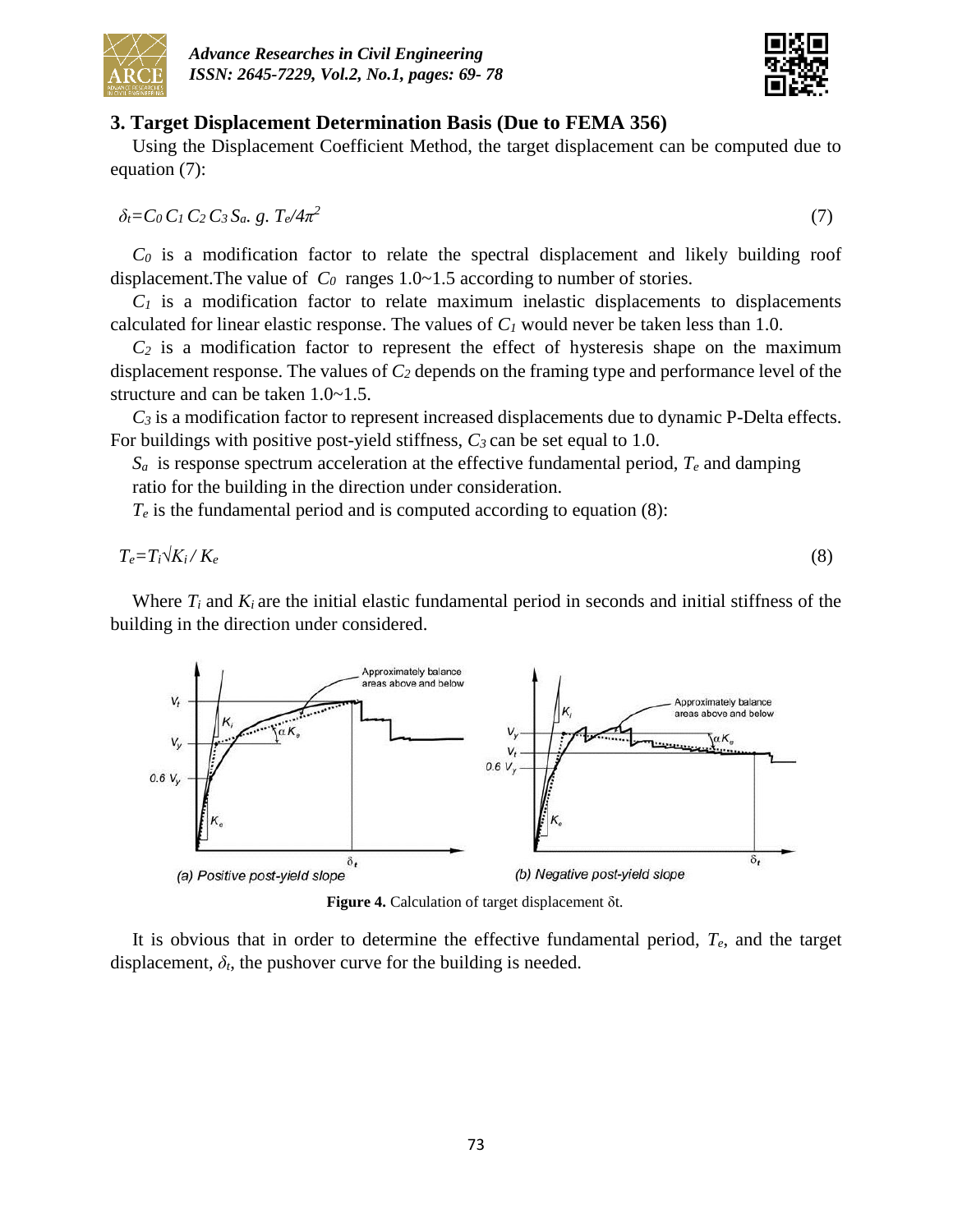



#### **3. Target Displacement Determination Basis (Due to FEMA 356)**

Using the Displacement Coefficient Method, the target displacement can be computed due to equation (7):

*δt=C0 C1 C2 C3 Sa. g. Te/4π 2*

*C<sup>0</sup>* is a modification factor to relate the spectral displacement and likely building roof displacement. The value of  $C_0$  ranges 1.0~1.5 according to number of stories.

 $C_I$  is a modification factor to relate maximum inelastic displacements to displacements calculated for linear elastic response. The values of  $C_I$  would never be taken less than 1.0.

 $C_2$  is a modification factor to represent the effect of hysteresis shape on the maximum displacement response. The values of *C<sup>2</sup>* depends on the framing type and performance level of the structure and can be taken 1.0~1.5.

*C<sup>3</sup>* is a modification factor to represent increased displacements due to dynamic P-Delta effects. For buildings with positive post-yield stiffness, *C3* can be set equal to 1.0.

 $S_a$  is response spectrum acceleration at the effective fundamental period,  $T_e$  and damping ratio for the building in the direction under consideration.

 $T_e$  is the fundamental period and is computed according to equation (8):

$$
T_e = T_i \sqrt{K_i} / K_e \tag{8}
$$

Where  $T_i$  and  $K_i$  are the initial elastic fundamental period in seconds and initial stiffness of the building in the direction under considered.



**Figure 4.** Calculation of target displacement δt.

It is obvious that in order to determine the effective fundamental period, *Te*, and the target displacement,  $\delta_t$ , the pushover curve for the building is needed.

(7)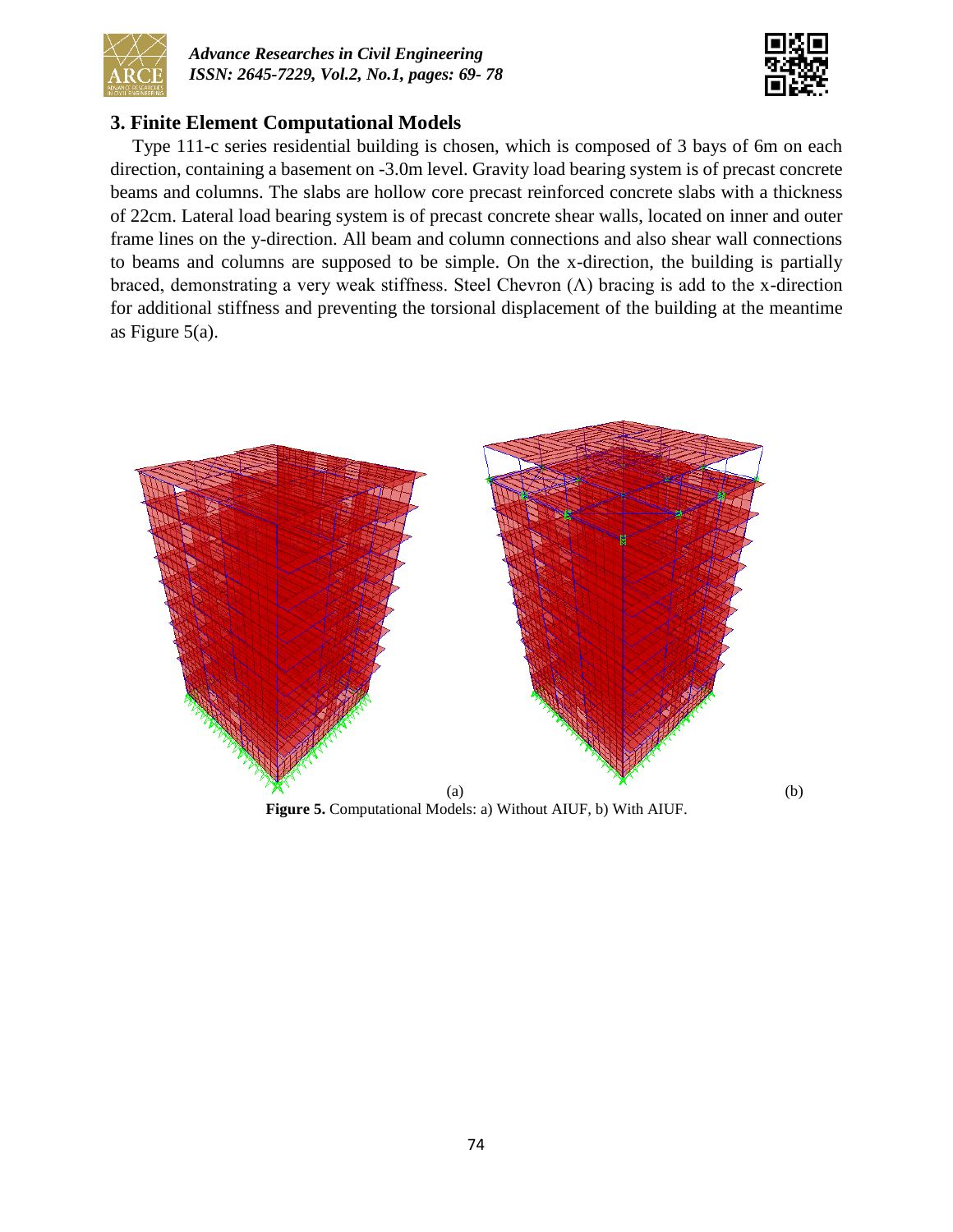



## **3. Finite Element Computational Models**

Type 111-c series residential building is chosen, which is composed of 3 bays of 6m on each direction, containing a basement on -3.0m level. Gravity load bearing system is of precast concrete beams and columns. The slabs are hollow core precast reinforced concrete slabs with a thickness of 22cm. Lateral load bearing system is of precast concrete shear walls, located on inner and outer frame lines on the y-direction. All beam and column connections and also shear wall connections to beams and columns are supposed to be simple. On the x-direction, the building is partially braced, demonstrating a very weak stiffness. Steel Chevron  $(\Lambda)$  bracing is add to the x-direction for additional stiffness and preventing the torsional displacement of the building at the meantime as Figure 5(a).



**Figure 5.** Computational Models: a) Without AIUF, b) With AIUF.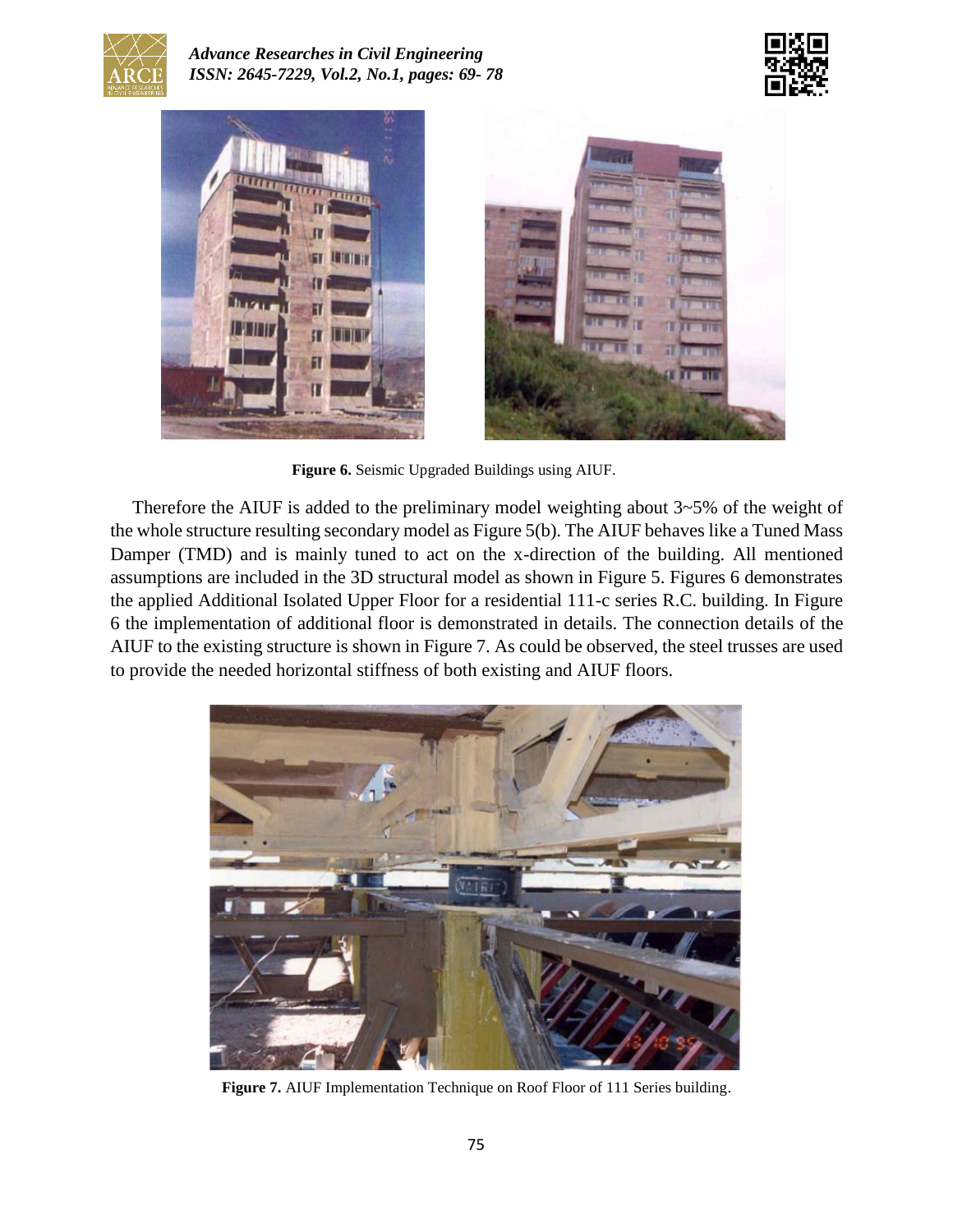

*Advance Researches in Civil Engineering ISSN: 2645-7229, Vol.2, No.1, pages: 69- 78*





**Figure 6.** Seismic Upgraded Buildings using AIUF.

Therefore the AIUF is added to the preliminary model weighting about 3~5% of the weight of the whole structure resulting secondary model as Figure 5(b). The AIUF behaves like a Tuned Mass Damper (TMD) and is mainly tuned to act on the x-direction of the building. All mentioned assumptions are included in the 3D structural model as shown in Figure 5. Figures 6 demonstrates the applied Additional Isolated Upper Floor for a residential 111-c series R.C. building. In Figure 6 the implementation of additional floor is demonstrated in details. The connection details of the AIUF to the existing structure is shown in Figure 7. As could be observed, the steel trusses are used to provide the needed horizontal stiffness of both existing and AIUF floors.



Figure 7. AIUF Implementation Technique on Roof Floor of 111 Series building.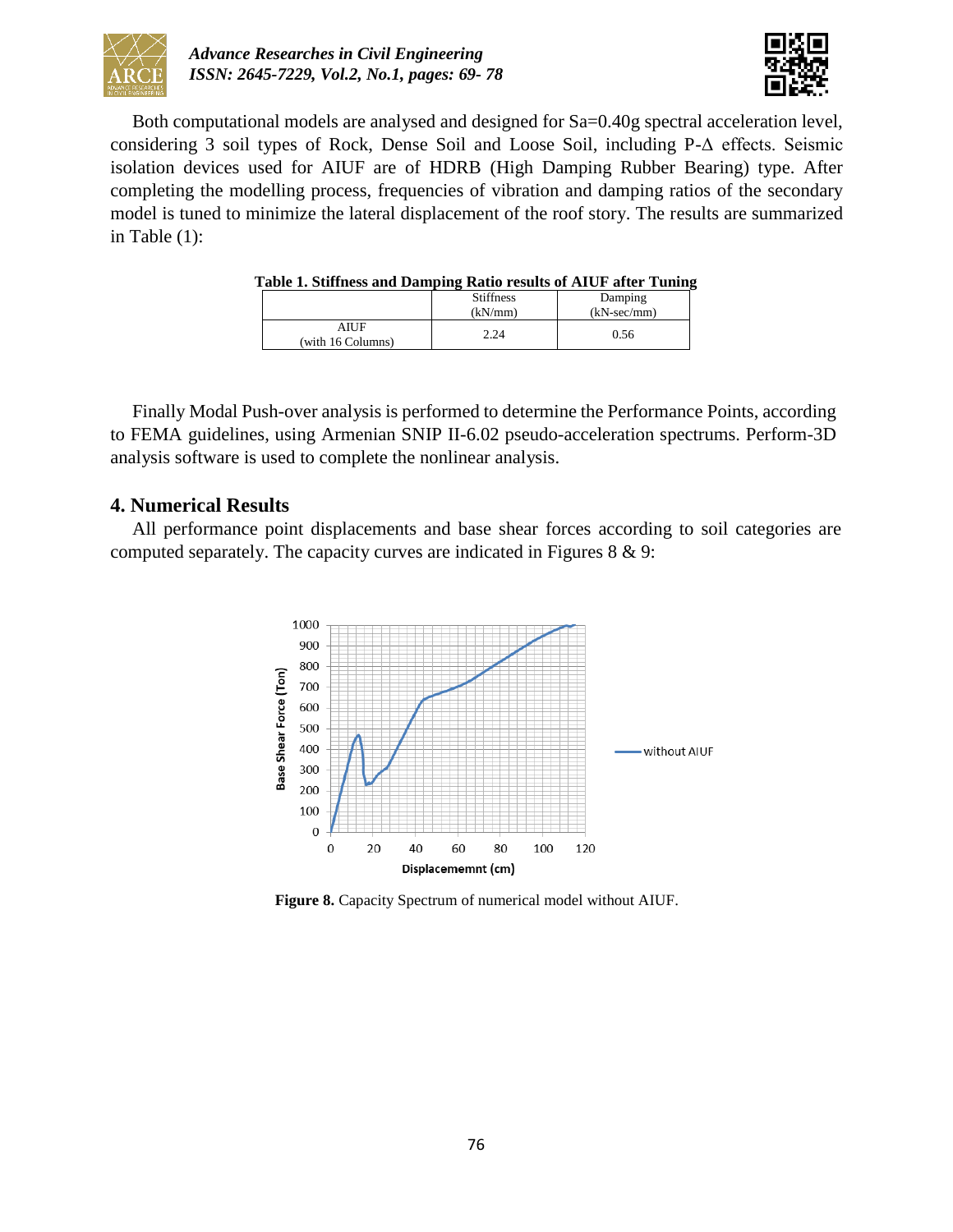



Both computational models are analysed and designed for Sa=0.40g spectral acceleration level, considering 3 soil types of Rock, Dense Soil and Loose Soil, including P-Δ effects. Seismic isolation devices used for AIUF are of HDRB (High Damping Rubber Bearing) type. After completing the modelling process, frequencies of vibration and damping ratios of the secondary model is tuned to minimize the lateral displacement of the roof story. The results are summarized in Table (1):

| radie 1. Suitness and Daniphig Kauo Fesuits of Arch after Tunni |                  |                      |
|-----------------------------------------------------------------|------------------|----------------------|
|                                                                 | <b>Stiffness</b> | Damping              |
|                                                                 | (kN/mm)          | $(kN\text{-}sec/mm)$ |
| AIUF<br>(with 16 Columns)                                       | 2.24             | 0.56                 |

#### **Table 1. Stiffness and Damping Ratio results of AIUF after Tuning**

Finally Modal Push-over analysis is performed to determine the Performance Points, according to FEMA guidelines, using Armenian SNIP II-6.02 pseudo-acceleration spectrums. Perform-3D analysis software is used to complete the nonlinear analysis.

### **4. Numerical Results**

All performance point displacements and base shear forces according to soil categories are computed separately. The capacity curves are indicated in Figures 8 & 9:



**Figure 8.** Capacity Spectrum of numerical model without AIUF.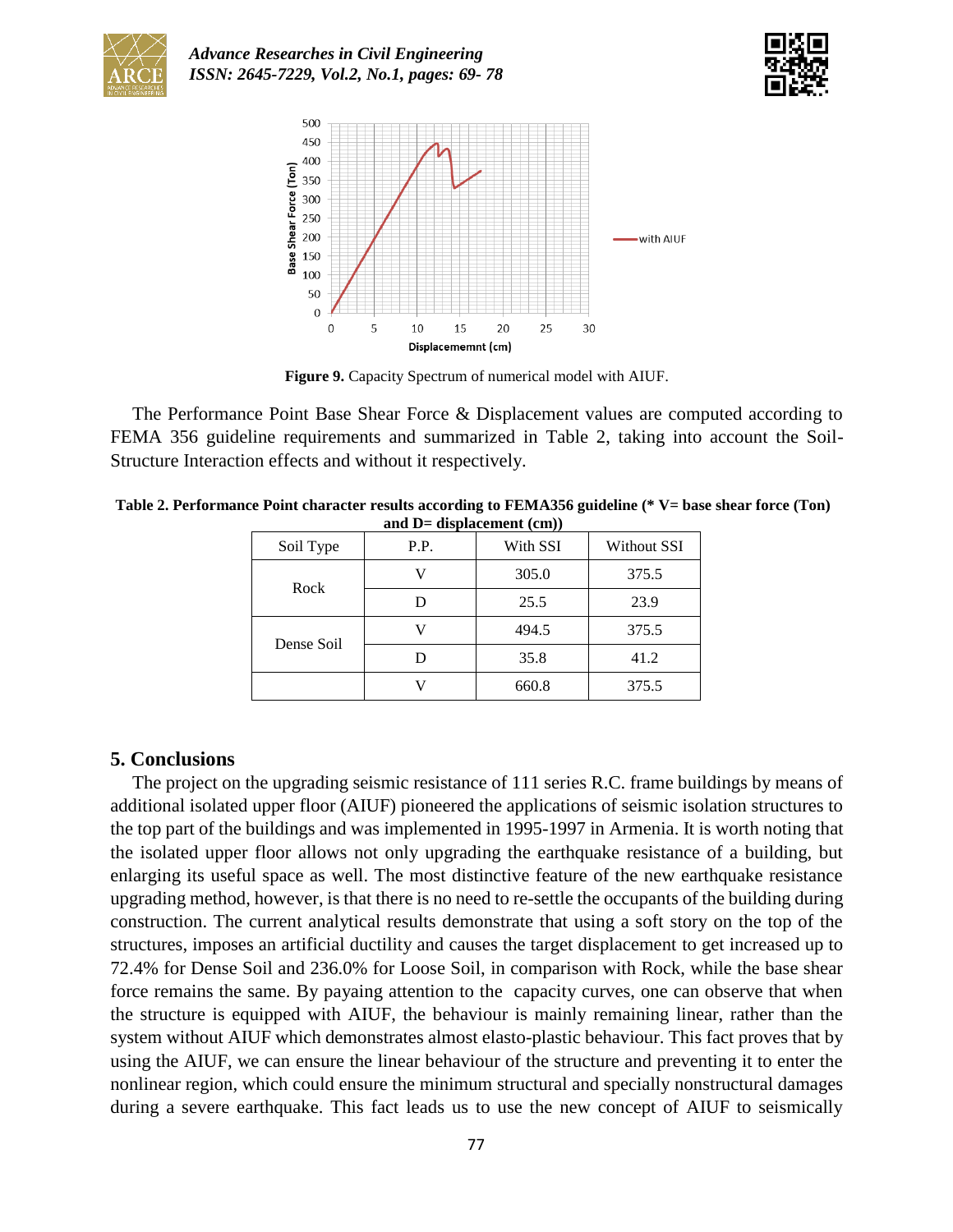





**Figure 9.** Capacity Spectrum of numerical model with AIUF.

The Performance Point Base Shear Force & Displacement values are computed according to FEMA 356 guideline requirements and summarized in Table 2, taking into account the Soil-Structure Interaction effects and without it respectively.

|  | and $D=$ displacement $(cm)$ ) |      |          |             |  |  |
|--|--------------------------------|------|----------|-------------|--|--|
|  | Soil Type                      | P.P. | With SSI | Without SSI |  |  |
|  | Rock                           |      | 305.0    | 375.5       |  |  |
|  |                                |      | 25.5     | 23.9        |  |  |
|  | Dense Soil                     |      | 494.5    | 375.5       |  |  |
|  |                                |      |          |             |  |  |

D 35.8 41.2 V 660.8 375.5

**Table 2. Performance Point character results according to FEMA356 guideline (\* V= base shear force (Ton)** 

# **5. Conclusions**

The project on the upgrading seismic resistance of 111 series R.C. frame buildings by means of additional isolated upper floor (AIUF) pioneered the applications of seismic isolation structures to the top part of the buildings and was implemented in 1995-1997 in Armenia. It is worth noting that the isolated upper floor allows not only upgrading the earthquake resistance of a building, but enlarging its useful space as well. The most distinctive feature of the new earthquake resistance upgrading method, however, is that there is no need to re-settle the occupants of the building during construction. The current analytical results demonstrate that using a soft story on the top of the structures, imposes an artificial ductility and causes the target displacement to get increased up to 72.4% for Dense Soil and 236.0% for Loose Soil, in comparison with Rock, while the base shear force remains the same. By payaing attention to the capacity curves, one can observe that when the structure is equipped with AIUF, the behaviour is mainly remaining linear, rather than the system without AIUF which demonstrates almost elasto-plastic behaviour. This fact proves that by using the AIUF, we can ensure the linear behaviour of the structure and preventing it to enter the nonlinear region, which could ensure the minimum structural and specially nonstructural damages during a severe earthquake. This fact leads us to use the new concept of AIUF to seismically